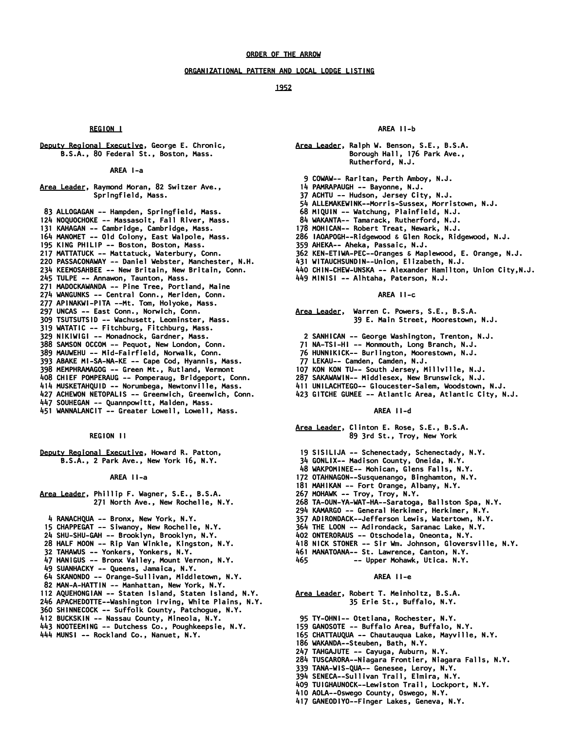### *ORGANIZATIONAL PATTERN AND LOCAL LODGE LISTING*

#### *1952*

## *REGION I*

*Deputy Regional Executive, George E. Chronic, B.S.A., 80 Federal St., Boston, Mass.* 

 *AREA I-a* 

*Area Leader, Raymond Moran, 82 Switzer Ave., Springfield, Mass.* 

 *83 ALLOGAGAN -- Hampden, Springfield, Mass. 124 NOQUOCHOKE -- Massasoit, Fall River, Mass. 131 KAHAGAN -- Cambridge, Cambridge, Mass. 164 MANOMET -- Old Colony, East Walpole, Mass. 195 KING PHILIP -- Boston, Boston, Mass. 217 MATTATUCK -- Mattatuck, Waterbury, Conn. 220 PASSACONAWAY -- Daniel Webster, Manchester, N.H. 234 KEEMOSAHBEE -- New Britain, New Britain, Conn. 245 TULPE -- Annawon, Taunton, Mass. 271 MADOCKAWANDA -- Pine Tree, Portland, Maine 274 WANGUNKS -- Central Conn., Meriden, Conn. 277 APINAKWI-PITA --Mt. Tom, Holyoke, Mass. 297 UNCAS -- East Conn., Norwich, Conn. 309 TSUTSUTSID -- Wachusett, Leominster, Mass. 319 WATATIC -- Fitchburg, Fitchburg, Mass. 329 NIKIWIGI -- Monadnock, Gardner, Mass. 388 SAMSON OCCOM -- Pequot, New London, Conn. 389 MAUWEHU -- Mid-Fairfield, Norwalk, Conn. 393 ABAKE MI-SA-NA-KE -- Cape Cod, Hyannis, Mass.* 

- *398 MEMPHRAMAGOG -- Green Mt., Rutland, Vermont*
- *408 CHIEF POMPERAUG -- Pomperaug, Bridgeport, Conn.*
- *414 MUSKETAHQUID -- Norumbega, Newtonville, Mass.*
- *427 ACHEWON NETOPALIS -- Greenwich, Greenwich, Conn.*
- *447 SOUHEGAN -- Quannpowitt, Malden, Mass.*
- *451 WANNALANCIT -- Greater Lowell, Lowell, Mass.*

## *REGION II*

*Deputy Regional Executive, Howard R. Patton, B.S.A., 2 Park Ave., New York 16, N.Y.* 

 *AREA II-a* 

- *Area Leader, Phillip F. Wagner, S.E., B.S.A. 271 North Ave., New Rochelle, N.Y.* 
	- *4 RANACHQUA -- Bronx, New York, N.Y.*
- *15 CHAPPEGAT -- Siwanoy, New Rochelle, N.Y.*
- *24 SHU-SHU-GAH -- Brooklyn, Brooklyn, N.Y.*
- *28 HALF MOON -- Rip Van Winkle, Kingston, N.Y.*
- *32 TAHAWUS -- Yonkers, Yonkers, N.Y.*
- *47 HANIGUS -- Bronx Valley, Mount Vernon, N.Y.*
- *49 SUANHACKY -- Queens, Jamaica, N.Y.*
- *64 SKANONDO -- Orange-Sullivan, Middletown, N.Y.*
- *82 MAN-A-HATTIN -- Manhattan, New York, N.Y.*
- *112 AQUEHONGIAN -- Staten Island, Staten Island, N.Y.*
- *246 APACHEDOTTE--Washington Irving, White Plains, N.Y.*
- *360 SHINNECOCK -- Suffolk County, Patchogue, N.Y.*
- *412 BUCKSKIN -- Nassau County, Mineola, N.Y.*
- *443 NOOTEEMING -- Dutchess Co., Poughkeepsie, N.Y.*
- *444 MUNSI -- Rockland Co., Nanuet, N.Y.*

#### *AREA II-b*

- *Area Leader, Ralph W. Benson, S.E., B.S.A. Borough Hall, 176 Park Ave., Rutherford, N.J.* 
	- *9 COWAW-- Raritan, Perth Amboy, N.J.*
	- *14 PAMRAPAUGH -- Bayonne, N.J.*
	- *37 ACHTU -- Hudson, Jersey City, N.J.*
- *54 ALLEMAKEWINK--Morris-Sussex, Morristown, N.J.*
- *68 MIQUIN -- Watchung, Plainfield, N.J.*
- *84 WAKANTA-- Tamarack, Rutherford, N.J.*
- *178 MOHICAN-- Robert Treat, Newark, N.J.*
- *286 IAOAPOGH--Ridgewood & Glen Rock, Ridgewood, N.J.*
- *359 AHEKA-- Aheka, Passaic, N.J.*
- *362 KEN-ETIWA-PEC--Oranges & Maplewood, E. Orange, N.J.*
- *431 WITAUCHSUNDIN--Union, Elizabeth, N.J.*
- *440 CHIN-CHEW-UNSKA -- Alexander Hamilton, Union City,N.J.*
- *449 MINISI -- Alhtaha, Paterson, N.J.*

#### *AREA II-c*

*Area Leader, Warren C. Powers, S.E., B.S.A. 39 E. Main Street, Moorestown, N.J.* 

- *2 SANHICAN -- George Washington, Trenton, N.J.*
- *71 NA-TSI-HI -- Monmouth, Long Branch, N.J.*
- *76 HUNNIKICK-- Burlington, Moorestown, N.J.*
- *77 LEKAU-- Camden, Camden, N.J.*
- *107 KON KON TU-- South Jersey, Millville, N.J.*
- *287 SAKAWAWIN-- Middlesex, New Brunswick, N.J.*
- *411 UNILACHTEGO-- Gloucester-Salem, Woodstown, N.J.*
- *423 GITCHE GUMEE -- Atlantic Area, Atlantic City, N.J.* 
	-

## *AREA II-d*

*Area Leader, Clinton E. Rose, S.E., B.S.A. 89 3rd St., Troy, New York* 

- *19 SISILIJA -- Schenectady, Schenectady, N.Y.*
- *34 GONLIX-- Madison County, Oneida, N.Y.*
- *48 WAKPOMINEE-- Mohican, Glens Falls, N.Y.*
- *172 OTAHNAGON--Susquenango, Binghamton, N.Y.*
- *181 MAHIKAN -- Fort Orange, Albany, N.Y.*
- *267 MOHAWK -- Troy, Troy, N.Y.*
- *268 TA-OUN-YA-WAT-HA--Saratoga, Ballston Spa, N.Y.*
- *294 KAMARGO -- General Herkimer, Herkimer, N.Y.*
- *357 ADIRONDACK--Jefferson Lewis, Watertown, N.Y.*
- *364 THE LOON -- Adirondack, Saranac Lake, N.Y.*
- *402 ONTERORAUS -- Otschodela, Oneonta, N.Y.*
- *418 NICK STONER -- Sir Wm. Johnson, Gloversville, N.Y.*
- *461 MANATOANA-- St. Lawrence, Canton, N.Y.*
- *465 -- Upper Mohawk, Utica. N.Y.*

## *AREA II-e*

- *Area Leader, Robert T. Meinholtz, B.S.A. 35 Erie St., Buffalo, N.Y.*
- *95 TY-OHNI-- Otetiana, Rochester, N.Y.*
- *159 GANOSOTE -- Buffalo Area, Buffalo, N.Y.*
- *165 CHATTAUQUA -- Chautauqua Lake, Mayville, N.Y.*
- *186 WAKANDA--Steuben, Bath, N.Y.*
- *247 TAHGAJUTE -- Cayuga, Auburn, N.Y.*
- *284 TUSCARORA--Niagara Frontier, Niagara Falls, N.Y.*
- *339 TANA-WIS-QUA-- Genesee, Leroy, N.Y.*
- *394 SENECA--Sullivan Trail, Elmira, N.Y.*
- *409 TUIGHAUNOCK--Lewiston Trail, Lockport, N.Y.*
- *410 AOLA--Oswego County, Oswego, N.Y.*
- *417 GANEODIYO--Finger Lakes, Geneva, N.Y.*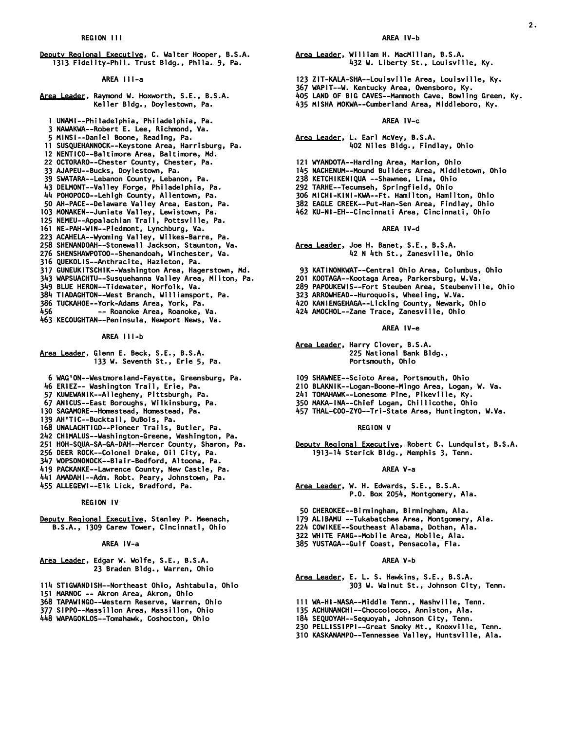*Deputy Regional Executive, C. Walter Hooper, B.S.A. 1313 Fidelity-Phil. Trust Bldg., Phila. 9, Pa.* 

 *AREA III-a* 

- *Area Leader, Raymond W. Hoxworth, S.E., B.S.A. Keller Bldg., Doylestown, Pa.* 
	- *1 UNAMI--Philadelphia, Philadelphia, Pa.*
- *3 NAWAKWA--Robert E. Lee, Richmond, Va.*
- *5 MINSI--Daniel Boone, Reading, Pa.*
- *11 SUSQUEHANNOCK--Keystone Area, Harrisburg, Pa.*
- *12 NENTICO--Baltimore Area, Baltimore, Md.*
- *22 OCTORARO--Chester County, Chester, Pa.*
- *33 AJAPEU--Bucks, Doylestown, Pa.*
- *39 SWATARA--Lebanon County, Lebanon, Pa.*
- *43 DELMONT--Valley Forge, Philadelphia, Pa.*
- *44 POHOPOCO--Lehigh County, Allentown, Pa.*
- *50 AH-PACE--Delaware Valley Area, Easton, Pa.*
- *103 MONAKEN--Juniata Valley, Lewistown, Pa.*
- *125 NEMEU--Appalachian Trail, Pottsville, Pa.*
- *161 NE-PAH-WIN--Piedmont, Lynchburg, Va.*
- *223 ACAHELA--Wyoming Valley, Wilkes-Barre, Pa.*
- *258 SHENANDOAH--Stonewall Jackson, Staunton, Va.*
- *276 SHENSHAWPOTOO--Shenandoah, Winchester, Va.*
- *316 QUEKOLIS--Anthracite, Hazleton, Pa.*
- *317 GUNEUKITSCHIK--Washington Area, Hagerstown, Md.*
- *343 WAPSUACHTU--Susquehanna Valley Area, Milton, Pa.*
- *349 BLUE HERON--Tidewater, Norfolk, Va.*
- *384 TIADAGHTON--West Branch, Williamsport, Pa.*
- 
- *386 TUCKAHOE--York-Adams Area, York, Pa. 456 -- Roanoke Area, Roanoke, Va.*
- *463 KECOUGHTAN--Peninsula, Newport News, Va.*

 *AREA III-b* 

- *Area Leader, Glenn E. Beck, S.E., B.S.A. 133 W. Seventh St., Erie 5, Pa.* 
	- *6 WAG'ON--Westmoreland-Fayette, Greensburg, Pa.*
- *46 ERIEZ-- Washington Trail, Erie, Pa.*
- *57 KUWEWANIK--Allegheny, Pittsburgh, Pa.*
- *67 ANICUS--East Boroughs, Wilkinsburg, Pa.*
- *130 SAGAMORE--Homestead, Homestead, Pa.*
- *139 AH'TIC--Bucktail, DuBois, Pa.*
- *168 UNALACHTIGO--Pioneer Trails, Butler, Pa.*
- *242 CHIMALUS--Washington-Greene, Washington, Pa.*
- *251 HOH-SQUA-SA-GA-DAH--Mercer County, Sharon, Pa.*
- *256 DEER ROCK--Colonel Drake, Oil City, Pa.*
- *347 WOPSONONOCK--Blair-Bedford, Altoona, Pa.*
- *419 PACKANKE--Lawrence County, New Castle, Pa.*
- *441 AMADAHI--Adm. Robt. Peary, Johnstown, Pa.*
- *455 ALLEGEWI--Elk Lick, Bradford, Pa.*

 *REGION IV* 

*Deputy Regional Executive, Stanley P. Meenach, B.S.A., 1309 Carew Tower, Cincinnati, Ohio* 

 *AREA IV-a* 

- *Area Leader, Edgar W. Wolfe, S.E., B.S.A. 23 Braden Bldg., Warren, Ohio*
- *114 STIGWANDISH--Northeast Ohio, Ashtabula, Ohio*
- *151 MARNOC -- Akron Area, Akron, Ohio*
- *368 TAPAWINGO--Western Reserve, Warren, Ohio*
- *377 SIPPO--Massillon Area, Massillon, Ohio*
- *448 WAPAGOKLOS--Tomahawk, Coshocton, Ohio*

*2.* 

- *Area Leader, William H. MacMillan, B.S.A. 432 W. Liberty St., Louisville, Ky.* 
	-
- *123 ZIT-KALA-SHA--Louisville Area, Louisville, Ky.*
- *367 WAPIT--W. Kentucky Area, Owensboro, Ky.*
- *405 LAND OF BIG CAVES--Mammoth Cave, Bowling Green, Ky.*
- *435 MISHA MOKWA--Cumberland Area, Middleboro, Ky.*

## *AREA IV-c*

#### *Area Leader, L. Earl McVey, B.S.A. 402 Niles Bldg., Findlay, Ohio*

- *121 WYANDOTA--Harding Area, Marion, Ohio*
- *145 NACHENUM--Mound Builders Area, Middletown, Ohio*
- *238 KETCHIKENIQUA --Shawnee, Lima, Ohio*
- *292 TARHE--Tecumseh, Springfield, Ohio*
- *306 MICHI-KINI-KWA--Ft. Hamilton, Hamilton, Ohio*
- *382 EAGLE CREEK--Put-Han-Sen Area, Findlay, Ohio*
- *462 KU-NI-EH--Cincinnati Area, Cincinnati, Ohio*

### *AREA IV-d*

- *Area Leader, Joe H. Banet, S.E., B.S.A. 42 N 4th St., Zanesville, Ohio*
- *93 KATINONKWAT--Central Ohio Area, Columbus, Ohio*
- *201 KOOTAGA--Kootaga Area, Parkersburg, W.Va.*
- *289 PAPOUKEWIS--Fort Steuben Area, Steubenville, Ohio*
- *323 ARROWHEAD--Huroquois, Wheeling, W.Va.*
- *420 KANIENGEHAGA--Licking County, Newark, Ohio*
- *424 AMOCHOL--Zane Trace, Zanesville, Ohio*

 *AREA IV-e* 

- *Area Leader, Harry Clover, B.S.A. 225 National Bank Bldg., Portsmouth, Ohio*
- *109 SHAWNEE--Scioto Area, Portsmouth, Ohio*
- *210 BLAKNIK--Logan-Boone-Mingo Area, Logan, W. Va.*
- *241 TOMAHAWK--Lonesome Pine, Pikeville, Ky.*
- *350 MAKA-INA--Chief Logan, Chillicothe, Ohio*
- *457 THAL-COO-ZYO--Tri-State Area, Huntington, W.Va.*

 *REGION V* 

*Deputy Regional Executive, Robert C. Lundquist, B.S.A. 1913-14 Sterick Bldg., Memphis 3, Tenn.* 

#### *AREA V-a*

- *Area Leader, W. H. Edwards, S.E., B.S.A. P.O. Box 2054, Montgomery, Ala.*
- *50 CHEROKEE--Birmingham, Birmingham, Ala.*
- *179 ALIBAMU --Tukabatchee Area, Montgomery, Ala.*
- *224 COWIKEE--Southeast Alabama, Dothan, Ala.*
- *322 WHITE FANG--Mobile Area, Mobile, Ala.*
- *385 YUSTAGA--Gulf Coast, Pensacola, Fla.*

#### *AREA V-b*

- *Area Leader, E. L. S. Hawkins, S.E., B.S.A. 303 W. Walnut St., Johnson City, Tenn.*
- *111 WA-HI-NASA--Middle Tenn., Nashville, Tenn.*
- *135 ACHUNANCHI--Choccolocco, Anniston, Ala.*
- *184 SEQUOYAH--Sequoyah, Johnson City, Tenn.*
- *230 PELLISSIPPI--Great Smoky Mt., Knoxville, Tenn. 310 KASKANAMPO--Tennessee Valley, Huntsville, Ala.*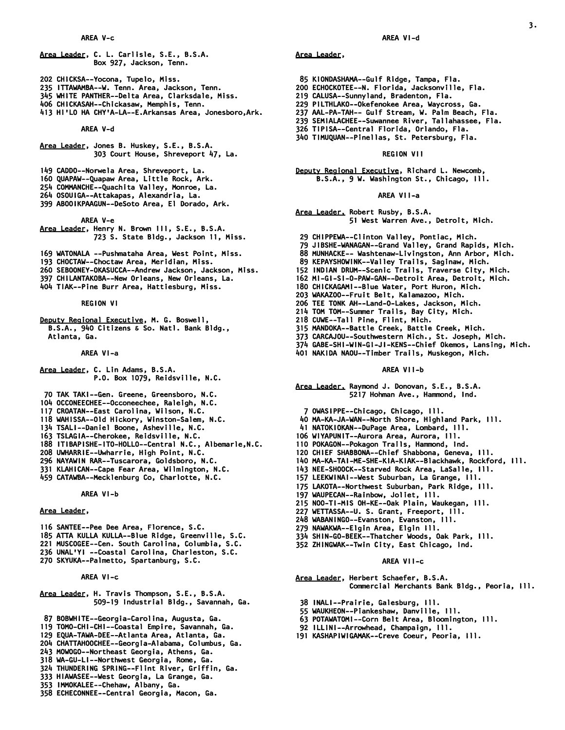- *Area Leader, C. L. Carlisle, S.E., B.S.A. Box 927, Jackson, Tenn.*
- *202 CHICKSA--Yocona, Tupelo, Miss.*
- *235 ITTAWAMBA--W. Tenn. Area, Jackson, Tenn.*
- *345 WHITE PANTHER--Delta Area, Clarksdale, Miss.*
- *406 CHICKASAH--Chickasaw, Memphis, Tenn.*
- *413 HI'LO HA CHY'A-LA--E.Arkansas Area, Jonesboro,Ark.*

### *AREA V-d*

- *Area Leader, Jones B. Huskey, S.E., B.S.A. 303 Court House, Shreveport 47, La.*
- *149 CADDO--Norwela Area, Shreveport, La.*
- *160 QUAPAW--Quapaw Area, Little Rock, Ark.*
- *254 COMMANCHE--Quachita Valley, Monroe, La.*
- *264 OSOUIGA--Attakapas, Alexandria, La.*
- *399 ABOOIKPAAGUN--DeSoto Area, El Dorado, Ark.*

#### *AREA V-e*

- *Area Leader, Henry N. Brown III, S.E., B.S.A. 723 S. State Bldg., Jackson 11, Miss.*
- *169 WATONALA --Pushmataha Area, West Point, Miss.*
- *193 CHOCTAW--Choctaw Area, Meridian, Miss.*
- *260 SEBOONEY-OKASUCCA--Andrew Jackson, Jackson, Miss.*
- *397 CHILANTAKOBA--New Orleans, New Orleans, La.*
- *404 TIAK--Pine Burr Area, Hattiesburg, Miss.*

 *REGION VI* 

*Deputy Regional Executive, M. G. Boswell, B.S.A., 940 Citizens & So. Natl. Bank Bldg., Atlanta, Ga.* 

### *AREA VI-a*

- *Area Leader, C. Lin Adams, B.S.A. P.O. Box 1079, Reidsville, N.C.*
- *70 TAK TAKI--Gen. Greene, Greensboro, N.C.*
- *104 OCCONEECHEE--Occoneechee, Raleigh, N.C.*
- *117 CROATAN--East Carolina, Wilson, N.C.*
- *118 WAHISSA--Old Hickory, Winston-Salem, N.C.*
- *134 TSALI--Daniel Boone, Asheville, N.C.*
- *163 TSLAGIA--Cherokee, Reidsville, N.C.*
- *188 ITIBAPISHE-ITO-HOLLO--Central N.C., Albemarle,N.C.*
- *208 UWHARRIE--Uwharrie, High Point, N.C.*
- *296 NAYAWIN RAR--Tuscarora, Goldsboro, N.C.*
- *331 KLAHICAN--Cape Fear Area, Wilmington, N.C.*
- *459 CATAWBA--Mecklenburg Co, Charlotte, N.C.*

#### *AREA VI-b*

## *Area Leader,*

- *116 SANTEE--Pee Dee Area, Florence, S.C.*
- *185 ATTA KULLA KULLA--Blue Ridge, Greenville, S.C.*
- *221 MUSCOGEE--Cen. South Carolina, Columbia, S.C.*
- *236 UNAL'YI --Coastal Carolina, Charleston, S.C.*
- *270 SKYUKA--Palmetto, Spartanburg, S.C.*

# *AREA VI-c*

- *Area Leader, H. Travis Thompson, S.E., B.S.A. 509-19 Industrial Bldg., Savannah, Ga.*
- *87 BOBWHITE--Georgia-Carolina, Augusta, Ga.*
- *119 TOMO-CHI-CHI--Coastal Empire, Savannah, Ga.*
- *129 EQUA-TAWA-DEE--Atlanta Area, Atlanta, Ga.*
- *204 CHATTAHOOCHEE--Georgia-Alabama, Columbus, Ga.*
- *243 MOWOGO--Northeast Georgia, Athens, Ga.*
- *318 WA-GU-LI--Northwest Georgia, Rome, Ga.*
- *324 THUNDERING SPRING--Flint River, Griffin, Ga.*
- *333 HIAWASEE--West Georgia, La Grange, Ga.*
- *353 IMMOKALEE--Chehaw, Albany, Ga.*
- *358 ECHECONNEE--Central Georgia, Macon, Ga.*

## *AREA VI-d*

*3.* 

## *Area Leader,*

- *85 KIONDASHAMA--Gulf Ridge, Tampa, Fla.*
- *200 ECHOCKOTEE--N. Florida, Jacksonville, Fla.*
- *219 CALUSA--Sunnyland, Bradenton, Fla.*
- *229 PILTHLAKO--Okefenokee Area, Waycross, Ga.*
- *237 AAL-PA-TAH-- Gulf Stream, W. Palm Beach, Fla.*
- *239 SEMIALACHEE--Suwannee River, Tallahassee, Fla.*
- *326 TIPISA--Central Florida, Orlando, Fla.*
- *340 TIMUQUAN--Pinellas, St. Petersburg, Fla.*

## *REGION VII*

*Deputy Regional Executive, Richard L. Newcomb, B.S.A., 9 W. Washington St., Chicago, Ill.* 

#### *AREA VII-a*

#### *Area Leader, Robert Rusby, B.S.A. 51 West Warren Ave., Detroit, Mich.*

- *29 CHIPPEWA--Clinton Valley, Pontiac, Mich.*
- *79 JIBSHE-WANAGAN--Grand Valley, Grand Rapids, Mich.*
- *88 MUNHACKE-- Washtenaw-Livingston, Ann Arbor, Mich.*
- *89 KEPAYSHOWINK--Valley Trails, Saginaw, Mich.*
- *152 INDIAN DRUM--Scenic Trails, Traverse City, Mich.*
- *162 MI-GI-SI-O-PAW-GAN--Detroit Area, Detroit, Mich.*
- *180 CHICKAGAMI--Blue Water, Port Huron, Mich.*
- *203 WAKAZOO--Fruit Belt, Kalamazoo, Mich.*
- *206 TEE TONK AH--Land-O-Lakes, Jackson, Mich.*
- *214 TOM TOM--Summer Trails, Bay City, Mich.*
- *218 CUWE--Tall Pine, Flint, Mich.*
- *315 MANDOKA--Battle Creek, Battle Creek, Mich.*
- *373 CARCAJOU--Southwestern Mich., St. Joseph, Mich.*
- *374 GABE-SHI-WIN-GI-JI-KENS--Chief Okemos, Lansing, Mich.*
- *401 NAKIDA NAOU--Timber Trails, Muskegon, Mich.*

### *AREA VII-b*

- *Area Leader, Raymond J. Donovan, S.E., B.S.A. 5217 Hohman Ave., Hammond, Ind.* 
	- *7 OWASIPPE--Chicago, Chicago, Ill.*
- *40 MA-KA-JA-WAN--North Shore, Highland Park, Ill.*
- *41 NATOKIOKAN--DuPage Area, Lombard, Ill.*
- *106 WIYAPUNIT--Aurora Area, Aurora, Ill.*
- *110 POKAGON--Pokagon Trails, Hammond, Ind.*
- *120 CHIEF SHABBONA--Chief Shabbona, Geneva, Ill.*
- *140 MA-KA-TAI-ME-SHE-KIA-KIAK--Blackhawk, Rockford, Ill.*
- *143 NEE-SHOOCK--Starved Rock Area, LaSalle, Ill.*
- *157 LEEKWINAI--West Suburban, La Grange, Ill.*
- *175 LAKOTA--Northwest Suburban, Park Ridge, Ill.*

 *334 SHIN-GO-BEEK--Thatcher Woods, Oak Park, Ill. 352 ZHINGWAK--Twin City, East Chicago, Ind.* 

 *AREA VII-c* 

 *63 POTAWATOMI--Corn Belt Area, Bloomington, Ill.* 

 *Commercial Merchants Bank Bldg., Peoria, Ill.* 

- *197 WAUPECAN--Rainbow, Joliet, Ill.*
- *215 NOO-TI-MIS OH-KE--Oak Plain, Waukegan, Ill.*
- *227 WETTASSA--U. S. Grant, Freeport, Ill.*
- *248 WABANINGO--Evanston, Evanston, Ill. 279 NAWAKWA--Elgin Area, Elgin Ill.*

*Area Leader, Herbert Schaefer, B.S.A.* 

 *38 INALI--Prairie, Galesburg, Ill. 55 WAUKHEON--Piankeshaw, Danville, Ill.* 

 *92 ILLINI--Arrowhead, Champaign, Ill. 191 KASHAPIWIGAMAK--Creve Coeur, Peoria, Ill.*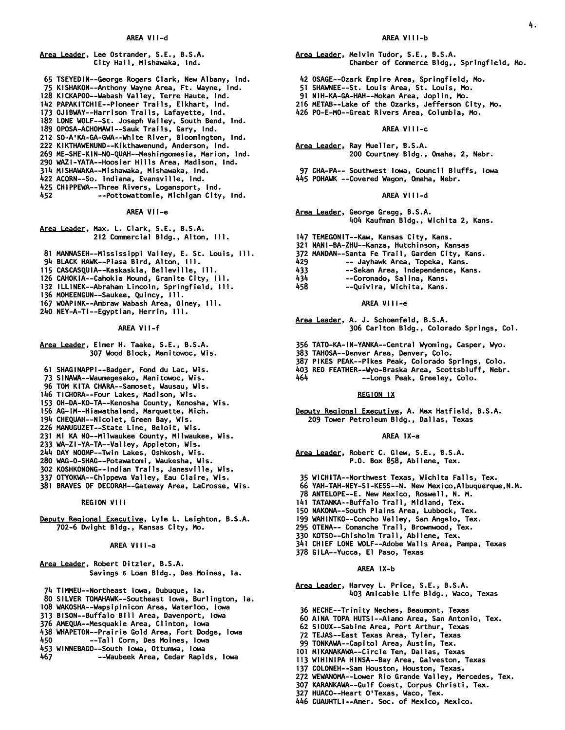### *Area Leader, Lee Ostrander, S.E., B.S.A. City Hall, Mishawaka, Ind.*

- *65 TSEYEDIN--George Rogers Clark, New Albany, Ind.*
- *75 KISHAKON--Anthony Wayne Area, Ft. Wayne, Ind.*
- *128 KICKAPOO--Wabash Valley, Terre Haute, Ind.*
- *142 PAPAKITCHIE--Pioneer Trails, Elkhart, Ind.*
- *173 OJIBWAY--Harrison Trails, Lafayette, Ind.*
- *182 LONE WOLF--St. Joseph Valley, South Bend, Ind. 189 OPOSA-ACHOMAWI--Sauk Trails, Gary, Ind.*
- *212 SO-A'KA-GA-GWA--White River, Bloomington, Ind.*
- *222 KIKTHAWENUND--Kikthawenund, Anderson, Ind.*
- *269 ME-SHE-KIN-NO-QUAH--Meshingomesia, Marion, Ind.*
- *290 WAZI-YATA--Hoosier Hills Area, Madison, Ind.*
- *314 MISHAWAKA--Mishawaka, Mishawaka, Ind.*
- *422 ACORN--So. Indiana, Evansville, Ind.*
- *425 CHIPPEWA--Three Rivers, Logansport, Ind.*
- *452 --Pottowattomie, Michigan City, Ind.*

## *AREA VII-e*

- *Area Leader, Max. L. Clark, S.E., B.S.A. 212 Commercial Bldg., Alton, Ill.*
- *81 MANNASEH--Mississippi Valley, E. St. Louis, Ill.*
- *94 BLACK HAWK--Piasa Bird, Alton, Ill.*
- *115 CASCASQUIA--Kaskaskia, Belleville, Ill.*
- *126 CAHOKIA--Cahokia Mound, Granite City, Ill.*
- *132 ILLINEK--Abraham Lincoln, Springfield, Ill.*
- *136 MOHEENGUN--Saukee, Quincy, Ill.*
- *167 WOAPINK--Ambraw Wabash Area, Olney, Ill.*
- *240 NEY-A-TI--Egyptian, Herrin, Ill.*

#### *AREA VII-f*

- *Area Leader, Elmer H. Taake, S.E., B.S.A. 307 Wood Block, Manitowoc, Wis.*
- *61 SHAGINAPPI--Badger, Fond du Lac, Wis.*
- *73 SINAWA--Waumegesako, Manitowoc, Wis.*
- *96 TOM KITA CHARA--Samoset, Wausau, Wis.*
- *146 TICHORA--Four Lakes, Madison, Wis.*
- *153 OH-DA-KO-TA--Kenosha County, Kenosha, Wis.*
- *156 AG-IM--Hiawathaland, Marquette, Mich.*
- *194 CHEQUAH--Nicolet, Green Bay, Wis.*
- *226 MANUGUZET--State Line, Beloit, Wis.*
- *231 MI KA NO--Milwaukee County, Milwaukee, Wis.*
- *233 WA-ZI-YA-TA--Valley, Appleton, Wis.*
- *244 DAY NOOMP--Twin Lakes, Oshkosh, Wis.*
- *280 WAG-O-SHAG--Potawatomi, Waukesha, Wis.*
- *302 KOSHKONONG--Indian Trails, Janesville, Wis.*
- *337 OTYOKWA--Chippewa Valley, Eau Claire, Wis.*
- *381 BRAVES OF DECORAH--Gateway Area, LaCrosse, Wis.*

 *REGION VIII* 

*Deputy Regional Executive, Lyle L. Leighton, B.S.A. 702-6 Dwight Bldg., Kansas City, Mo.* 

#### *AREA VIII-a*

*Area Leader, Robert Ditzler, B.S.A. Savings & Loan Bldg., Des Moines, Ia.* 

- *74 TIMMEU--Northeast Iowa, Dubuque, Ia.*
- *80 SILVER TOMAHAWK--Southeast Iowa, Burlington, Ia.*
- *108 WAKOSHA--Wapsipinicon Area, Waterloo, Iowa*
- *313 BISON--Buffalo Bill Area, Davenport, Iowa*
- *376 AMEQUA--Mesquakie Area, Clinton, Iowa*
- *438 WHAPETON--Prairie Gold Area, Fort Dodge, Iowa*
- *450 --Tall Corn, Des Moines, Iowa*
- *453 WINNEBAGO--South Iowa, Ottumwa, Iowa*
- *467 --Waubeek Area, Cedar Rapids, Iowa*

#### *AREA VIII-b*

*4.* 

*Area Leader, Melvin Tudor, S.E., B.S.A.* 

- *Chamber of Commerce Bldg,, Springfield, Mo.*
- *42 OSAGE--Ozark Empire Area, Springfield, Mo.*
- *51 SHAWNEE--St. Louis Area, St. Louis, Mo.*
- *91 NIH-KA-GA-HAH--Mokan Area, Joplin, Mo.*
- *216 METAB--Lake of the Ozarks, Jefferson City, Mo.*
- *426 PO-E-MO--Great Rivers Area, Columbia, Mo.*

## *AREA VIII-c*

- *Area Leader, Ray Mueller, B.S.A. 200 Courtney Bldg., Omaha, 2, Nebr.*
- *97 CHA-PA-- Southwest Iowa, Council Bluffs, Iowa 445 POHAWK --Covered Wagon, Omaha, Nebr.*

#### *AREA VIII-d*

- *Area Leader, George Gragg, B.S.A. 404 Kaufman Bldg., Wichita 2, Kans.*
- *147 TEMEGONIT--Kaw, Kansas City, Kans.*
- *321 NANI-BA-ZHU--Kanza, Hutchinson, Kansas*
- *372 MANDAN--Santa Fe Trail, Garden City, Kans.*
- *429 -- Jayhawk Area, Topeka, Kans.*
- *433 --Sekan Area, Independence, Kans.*
- *434 --Coronado, Salina, Kans.*
- *458 --Quivira, Wichita, Kans.*

### *AREA VIII-e*

*Area Leader, A. J. Schoenfeld, B.S.A. 306 Carlton Bldg., Colorado Springs, Col.* 

- *356 TATO-KA-IN-YANKA--Central Wyoming, Casper, Wyo.*
- *383 TAHOSA--Denver Area, Denver, Colo.*
- *387 PIKES PEAK--Pikes Peak, Colorado Springs, Colo.*
- *403 RED FEATHER--Wyo-Braska Area, Scottsbluff, Nebr.*
- *464 --Longs Peak, Greeley, Colo.*

## *REGION IX*

*Deputy Regional Executive, A. Max Hatfield, B.S.A. 209 Tower Petroleum Bldg., Dallas, Texas* 

#### *AREA IX-a*

- *Area Leader, Robert C. Glew, S.E., B.S.A. P.O. Box 858, Abilene, Tex.*
- *35 WICHITA--Northwest Texas, Wichita Falls, Tex.*
- *66 YAH-TAH-NEY-SI-KESS--N. New Mexico,Albuquerque,N.M.*
- *78 ANTELOPE--E. New Mexico, Roswell, N. M.*
- *141 TATANKA--Buffalo Trail, Midland, Tex.*
- *150 NAKONA--South Plains Area, Lubbock, Tex.*
- *199 WAHINTKO--Concho Valley, San Angelo, Tex.*
- *295 OTENA-- Comanche Trail, Brownwood, Tex.*
- *330 KOTSO--Chisholm Trail, Abilene, Tex.*
- *341 CHIEF LONE WOLF--Adobe Walls Area, Pampa, Texas*
- *378 GILA--Yucca, El Paso, Texas*

### *AREA IX-b*

 *327 HUACO--Heart O'Texas, Waco, Tex. 446 CUAUHTLI--Amer. Soc. of Mexico, Mexico.* 

*Area Leader, Harvey L. Price, S.E., B.S.A. 403 Amicable Life Bldg., Waco, Texas* 

 *60 AINA TOPA HUTSI--Alamo Area, San Antonio, Tex. 62 SIOUX--Sabine Area, Port Arthur, Texas 72 TEJAS--East Texas Area, Tyler, Texas 99 TONKAWA--Capitol Area, Austin, Tex. 101 MIKANAKAWA--Circle Ten, Dallas, Texas 113 WIHINIPA HINSA--Bay Area, Galveston, Texas 137 COLONEH--Sam Houston, Houston, Texas.* 

 *272 WEWANOMA--Lower Rio Grande Valley, Mercedes, Tex. 307 KARANKAWA--Gulf Coast, Corpus Christi, Tex.* 

 *36 NECHE--Trinity Neches, Beaumont, Texas*